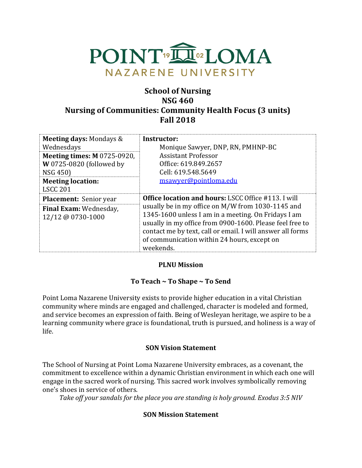

# **School of Nursing NSG 460 Nursing of Communities: Community Health Focus (3 units) Fall 2018**

| <b>Meeting days: Mondays &amp;</b><br>Wednesdays                           | Instructor:<br>Monique Sawyer, DNP, RN, PMHNP-BC                                                                                                                                                                                                                                               |
|----------------------------------------------------------------------------|------------------------------------------------------------------------------------------------------------------------------------------------------------------------------------------------------------------------------------------------------------------------------------------------|
| <b>Meeting times: M 0725-0920,</b><br>W 0725-0820 (followed by<br>NSG 450) | <b>Assistant Professor</b><br>Office: 619.849.2657<br>Cell: 619.548.5649                                                                                                                                                                                                                       |
| <b>Meeting location:</b><br><b>LSCC 201</b>                                | msawyer@pointloma.edu                                                                                                                                                                                                                                                                          |
| <b>Placement:</b> Senior year                                              | <b>Office location and hours: LSCC Office #113. I will</b>                                                                                                                                                                                                                                     |
| Final Exam: Wednesday,<br>12/12 @ 0730-1000                                | usually be in my office on M/W from 1030-1145 and<br>1345-1600 unless I am in a meeting. On Fridays I am<br>usually in my office from 0900-1600. Please feel free to<br>contact me by text, call or email. I will answer all forms<br>of communication within 24 hours, except on<br>weekends. |

# **PLNU Mission**

#### **To Teach ~ To Shape ~ To Send**

Point Loma Nazarene University exists to provide higher education in a vital Christian community where minds are engaged and challenged, character is modeled and formed, and service becomes an expression of faith. Being of Wesleyan heritage, we aspire to be a learning community where grace is foundational, truth is pursued, and holiness is a way of life.

#### **SON Vision Statement**

The School of Nursing at Point Loma Nazarene University embraces, as a covenant, the commitment to excellence within a dynamic Christian environment in which each one will engage in the sacred work of nursing. This sacred work involves symbolically removing one's shoes in service of others.

*Take off your sandals for the place you are standing is holy ground. Exodus 3:5 NIV* 

#### **SON Mission Statement**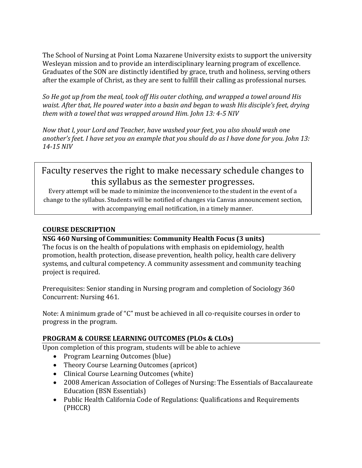The School of Nursing at Point Loma Nazarene University exists to support the university Wesleyan mission and to provide an interdisciplinary learning program of excellence. Graduates of the SON are distinctly identified by grace, truth and holiness, serving others after the example of Christ, as they are sent to fulfill their calling as professional nurses.

*So He got up from the meal, took off His outer clothing, and wrapped a towel around His waist. After that, He poured water into a basin and began to wash His disciple's feet, drying them with a towel that was wrapped around Him. John 13: 4-5 NIV* 

*Now that I, your Lord and Teacher, have washed your feet, you also should wash one another's feet. I have set you an example that you should do as I have done for you. John 13: 14-15 NIV* 

# Faculty reserves the right to make necessary schedule changes to this syllabus as the semester progresses.

Every attempt will be made to minimize the inconvenience to the student in the event of a change to the syllabus. Students will be notified of changes via Canvas announcement section, with accompanying email notification, in a timely manner.

# **COURSE DESCRIPTION**

# **NSG 460 Nursing of Communities: Community Health Focus (3 units)**

The focus is on the health of populations with emphasis on epidemiology, health promotion, health protection, disease prevention, health policy, health care delivery systems, and cultural competency. A community assessment and community teaching project is required.

Prerequisites: Senior standing in Nursing program and completion of Sociology 360 Concurrent: Nursing 461.

Note: A minimum grade of "C" must be achieved in all co-requisite courses in order to progress in the program.

# **PROGRAM & COURSE LEARNING OUTCOMES (PLOs & CLOs)**

Upon completion of this program, students will be able to achieve

- Program Learning Outcomes (blue)
- Theory Course Learning Outcomes (apricot)
- Clinical Course Learning Outcomes (white)
- 2008 American Association of Colleges of Nursing: The Essentials of Baccalaureate Education (BSN Essentials)
- Public Health California Code of Regulations: Qualifications and Requirements (PHCCR)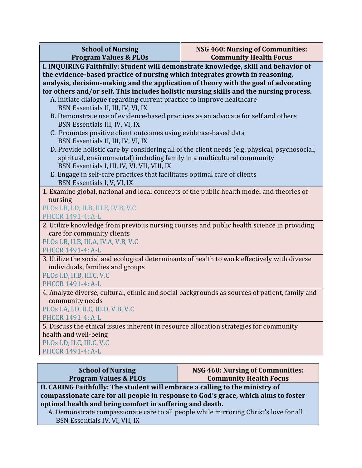| <b>School of Nursing</b><br><b>Program Values &amp; PLOs</b>                                                                                                        | NSG 460: Nursing of Communities:<br><b>Community Health Focus</b>                             |  |  |  |  |  |
|---------------------------------------------------------------------------------------------------------------------------------------------------------------------|-----------------------------------------------------------------------------------------------|--|--|--|--|--|
| I. INQUIRING Faithfully: Student will demonstrate knowledge, skill and behavior of                                                                                  |                                                                                               |  |  |  |  |  |
| the evidence-based practice of nursing which integrates growth in reasoning,<br>analysis, decision-making and the application of theory with the goal of advocating |                                                                                               |  |  |  |  |  |
| for others and/or self. This includes holistic nursing skills and the nursing process.                                                                              |                                                                                               |  |  |  |  |  |
| A. Initiate dialogue regarding current practice to improve healthcare                                                                                               |                                                                                               |  |  |  |  |  |
| BSN Essentials II, III, IV, VI, IX<br>B. Demonstrate use of evidence-based practices as an advocate for self and others                                             |                                                                                               |  |  |  |  |  |
| BSN Essentials III, IV, VI, IX                                                                                                                                      |                                                                                               |  |  |  |  |  |
| C. Promotes positive client outcomes using evidence-based data                                                                                                      |                                                                                               |  |  |  |  |  |
| BSN Essentials II, III, IV, VI, IX                                                                                                                                  |                                                                                               |  |  |  |  |  |
| spiritual, environmental) including family in a multicultural community                                                                                             | D. Provide holistic care by considering all of the client needs (e.g. physical, psychosocial, |  |  |  |  |  |
| BSN Essentials I, III, IV, VI, VII, VIII, IX                                                                                                                        |                                                                                               |  |  |  |  |  |
| E. Engage in self-care practices that facilitates optimal care of clients                                                                                           |                                                                                               |  |  |  |  |  |
| BSN Essentials I, V, VI, IX                                                                                                                                         |                                                                                               |  |  |  |  |  |
| 1. Examine global, national and local concepts of the public health model and theories of<br>nursing                                                                |                                                                                               |  |  |  |  |  |
| PLOs I.B, I.D, II.B, III.E, IV.B, V.C                                                                                                                               |                                                                                               |  |  |  |  |  |
| <b>PHCCR 1491-4: A-L</b>                                                                                                                                            |                                                                                               |  |  |  |  |  |
| 2. Utilize knowledge from previous nursing courses and public health science in providing                                                                           |                                                                                               |  |  |  |  |  |
| care for community clients<br>PLOs I.B, II.B, III.A, IV.A, V.B, V.C                                                                                                 |                                                                                               |  |  |  |  |  |
| PHCCR 1491-4: A-L                                                                                                                                                   |                                                                                               |  |  |  |  |  |
| 3. Utilize the social and ecological determinants of health to work effectively with diverse                                                                        |                                                                                               |  |  |  |  |  |
| individuals, families and groups                                                                                                                                    |                                                                                               |  |  |  |  |  |
| PLOs I.D, II.B, III.C, V.C<br>PHCCR 1491-4: A-L                                                                                                                     |                                                                                               |  |  |  |  |  |
| 4. Analyze diverse, cultural, ethnic and social backgrounds as sources of patient, family and                                                                       |                                                                                               |  |  |  |  |  |
| community needs                                                                                                                                                     |                                                                                               |  |  |  |  |  |
| PLOs I.A, I.D, II.C, III.D, V.B, V.C                                                                                                                                |                                                                                               |  |  |  |  |  |
| PHCCR 1491-4: A-L<br>5. Discuss the ethical issues inherent in resource allocation strategies for community                                                         |                                                                                               |  |  |  |  |  |
| health and well-being                                                                                                                                               |                                                                                               |  |  |  |  |  |
| PLOs I.D, II.C, III.C, V.C                                                                                                                                          |                                                                                               |  |  |  |  |  |
| PHCCR 1491-4: A-L                                                                                                                                                   |                                                                                               |  |  |  |  |  |

**School of Nursing Program Values & PLOs** **NSG 460: Nursing of Communities: Community Health Focus**

**II. CARING Faithfully: The student will embrace a calling to the ministry of compassionate care for all people in response to God's grace, which aims to foster optimal health and bring comfort in suffering and death.**

 A. Demonstrate compassionate care to all people while mirroring Christ's love for all BSN Essentials IV, VI, VII, IX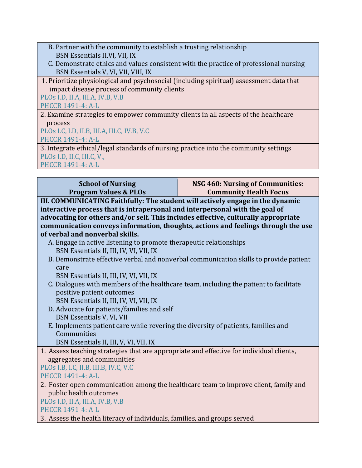- B. Partner with the community to establish a trusting relationship BSN Essentials II.VI, VII, IX
- C. Demonstrate ethics and values consistent with the practice of professional nursing BSN Essentials V, VI, VII, VIII, IX
- 1. Prioritize physiological and psychosocial (including spiritual) assessment data that impact disease process of community clients

PLOs I.D, II.A, III.A, IV.B, V.B

PHCCR 1491-4: A-L

2. Examine strategies to empower community clients in all aspects of the healthcare process

PLOs I.C, I.D, II.B, III.A, III.C, IV.B, V.C PHCCR 1491-4: A-L

3. Integrate ethical/legal standards of nursing practice into the community settings PLOs I.D, II.C, III.C, V., PHCCR 1491-4: A-L

**School of Nursing Program Values & PLOs NSG 460: Nursing of Communities: Community Health Focus III. COMMUNICATING Faithfully: The student will actively engage in the dynamic interactive process that is intrapersonal and interpersonal with the goal of advocating for others and/or self. This includes effective, culturally appropriate communication conveys information, thoughts, actions and feelings through the use of verbal and nonverbal skills.** A. Engage in active listening to promote therapeutic relationships BSN Essentials II, III, IV, VI, VII, IX B. Demonstrate effective verbal and nonverbal communication skills to provide patient care BSN Essentials II, III, IV, VI, VII, IX C. Dialogues with members of the healthcare team, including the patient to facilitate positive patient outcomes BSN Essentials II, III, IV, VI, VII, IX D. Advocate for patients/families and self BSN Essentials V, VI, VII E. Implements patient care while revering the diversity of patients, families and Communities BSN Essentials II, III, V, VI, VII, IX 1. Assess teaching strategies that are appropriate and effective for individual clients, aggregates and communities PLOs I.B, I.C, II.B, III.B, IV.C, V.C PHCCR 1491-4: A-L 2. Foster open communication among the healthcare team to improve client, family and public health outcomes PLOs I.D, II.A, III.A, IV.B, V.B PHCCR 1491-4: A-L 3. Assess the health literacy of individuals, families, and groups served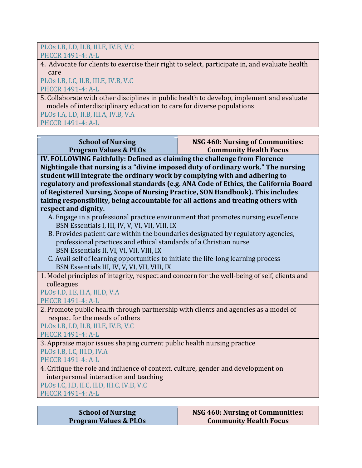#### PLOs I.B, I.D, II.B, III.E, IV.B, V.C PHCCR 1491-4: A-L

4. Advocate for clients to exercise their right to select, participate in, and evaluate health care

# PLOs I.B, I.C, II.B, III.E, IV.B, V.C PHCCR 1491-4: A-L

5. Collaborate with other disciplines in public health to develop, implement and evaluate models of interdisciplinary education to care for diverse populations

PLOs I.A, I.D, II.B, III.A, IV.B, V.A PHCCR 1491-4: A-L

#### **School of Nursing Program Values & PLOs**

#### **NSG 460: Nursing of Communities: Community Health Focus**

**IV. FOLLOWING Faithfully: Defined as claiming the challenge from Florence Nightingale that nursing is a "divine imposed duty of ordinary work." The nursing student will integrate the ordinary work by complying with and adhering to regulatory and professional standards (e.g. ANA Code of Ethics, the California Board of Registered Nursing, Scope of Nursing Practice, SON Handbook). This includes taking responsibility, being accountable for all actions and treating others with respect and dignity.**

- A. Engage in a professional practice environment that promotes nursing excellence BSN Essentials I, III, IV, V, VI, VII, VIII, IX
- B. Provides patient care within the boundaries designated by regulatory agencies, professional practices and ethical standards of a Christian nurse BSN Essentials II, VI, VI, VII, VIII, IX
- C. Avail self of learning opportunities to initiate the life-long learning process BSN Essentials III, IV, V, VI, VII, VIII, IX
- 1. Model principles of integrity, respect and concern for the well-being of self, clients and colleagues

#### PLOs I.D, I.E, II.A, III.D, V.A PHCCR 1491-4: A-L

2. Promote public health through partnership with clients and agencies as a model of respect for the needs of others

PLOs I.B, I.D, II.B, III.E, IV.B, V.C

PHCCR 1491-4: A-L

3. Appraise major issues shaping current public health nursing practice PLOs I.B, I.C, III.D, IV.A

PHCCR 1491-4: A-L

4. Critique the role and influence of context, culture, gender and development on interpersonal interaction and teaching

PLOs I.C, I.D, II.C, II.D, III.C, IV.B, V.C

PHCCR 1491-4: A-L

| <b>School of Nursing</b>         |
|----------------------------------|
| <b>Program Values &amp; PLOs</b> |

#### **NSG 460: Nursing of Communities: Community Health Focus**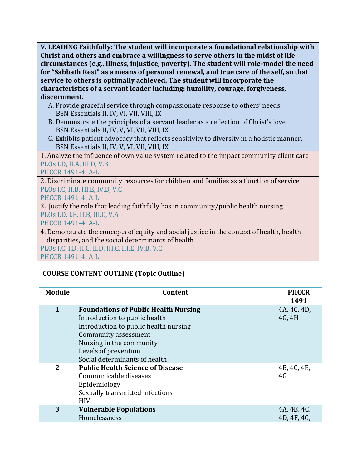**V. LEADING Faithfully: The student will incorporate a foundational relationship with Christ and others and embrace a willingness to serve others in the midst of life circumstances (e.g., illness, injustice, poverty). The student will role-model the need for "Sabbath Rest" as a means of personal renewal, and true care of the self, so that service to others is optimally achieved. The student will incorporate the characteristics of a servant leader including: humility, courage, forgiveness, discernment.**

- A. Provide graceful service through compassionate response to others' needs BSN Essentials II, IV, VI, VII, VIII, IX
- B. Demonstrate the principles of a servant leader as a reflection of Christ's love BSN Essentials II, IV, V, VI, VII, VIII, IX
- C. Exhibits patient advocacy that reflects sensitivity to diversity in a holistic manner. BSN Essentials II, IV, V, VI, VII, VIII, IX

1. Analyze the influence of own value system related to the impact community client care PLOs I.D, II.A, III.D, V.B

PHCCR 1491-4: A-L

2. Discriminate community resources for children and families as a function of service PLOs I.C, II.B, III.E, IV.B, V.C

PHCCR 1491-4: A-L

3. Justify the role that leading faithfully has in community/public health nursing PLOs I.D, I.E, II.B, III.C, V.A

PHCCR 1491-4: A-L

4. Demonstrate the concepts of equity and social justice in the context of health, health disparities, and the social determinants of health

PLOs I.C, I.D, II.C, II.D, III.C, III.E, IV.B, V.C PHCCR 1491-4: A-L

# **COURSE CONTENT OUTLINE (Topic Outline)**

| <b>Module</b> | Content                                                                                                                           | <b>PHCCR</b><br>1491       |
|---------------|-----------------------------------------------------------------------------------------------------------------------------------|----------------------------|
| $\mathbf{1}$  | <b>Foundations of Public Health Nursing</b><br>Introduction to public health<br>Introduction to public health nursing             | 4A, 4C, 4D,<br>4G, 4H      |
|               | Community assessment<br>Nursing in the community<br>Levels of prevention<br>Social determinants of health                         |                            |
| $\mathbf{2}$  | <b>Public Health Science of Disease</b><br>Communicable diseases<br>Epidemiology<br>Sexually transmitted infections<br><b>HIV</b> | 4B, 4C, 4E,<br>4G          |
| 3             | <b>Vulnerable Populations</b><br>Homelessness                                                                                     | 4A, 4B, 4C,<br>4D, 4F, 4G, |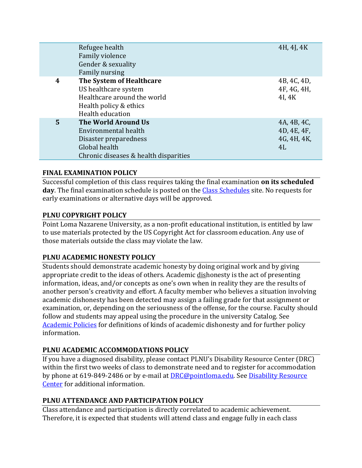|   | Refugee health<br>Family violence<br>Gender & sexuality<br>Family nursing                                                      | 4H, 4J, 4K                                      |
|---|--------------------------------------------------------------------------------------------------------------------------------|-------------------------------------------------|
| 4 | The System of Healthcare<br>US healthcare system<br>Healthcare around the world<br>Health policy & ethics<br>Health education  | 4B, 4C, 4D,<br>4F, 4G, 4H,<br>4I, 4K            |
| 5 | The World Around Us<br>Environmental health<br>Disaster preparedness<br>Global health<br>Chronic diseases & health disparities | 4A, 4B, 4C,<br>4D, 4E, 4F,<br>4G, 4H, 4K,<br>4L |

# **FINAL EXAMINATION POLICY**

Successful completion of this class requires taking the final examination **on its scheduled day**. The final examination schedule is posted on the [Class Schedules](http://www.pointloma.edu/experience/academics/class-schedules) site. No requests for early examinations or alternative days will be approved.

# **PLNU COPYRIGHT POLICY**

Point Loma Nazarene University, as a non-profit educational institution, is entitled by law to use materials protected by the US Copyright Act for classroom education. Any use of those materials outside the class may violate the law.

#### **PLNU ACADEMIC HONESTY POLICY**

Students should demonstrate academic honesty by doing original work and by giving appropriate credit to the ideas of others. Academic dishonesty is the act of presenting information, ideas, and/or concepts as one's own when in reality they are the results of another person's creativity and effort. A faculty member who believes a situation involving academic dishonesty has been detected may assign a failing grade for that assignment or examination, or, depending on the seriousness of the offense, for the course. Faculty should follow and students may appeal using the procedure in the university Catalog. See [Academic Policies](http://catalog.pointloma.edu/content.php?catoid=18&navoid=1278) for definitions of kinds of academic dishonesty and for further policy information.

# **PLNU ACADEMIC ACCOMMODATIONS POLICY**

If you have a diagnosed disability, please contact PLNU's Disability Resource Center (DRC) within the first two weeks of class to demonstrate need and to register for accommodation by phone at 619-849-2486 or by e-mail at [DRC@pointloma.edu.](mailto:DRC@pointloma.edu) See [Disability Resource](http://www.pointloma.edu/experience/offices/administrative-offices/academic-advising-office/disability-resource-center)  [Center](http://www.pointloma.edu/experience/offices/administrative-offices/academic-advising-office/disability-resource-center) for additional information.

# **PLNU ATTENDANCE AND PARTICIPATION POLICY**

Class attendance and participation is directly correlated to academic achievement. Therefore, it is expected that students will attend class and engage fully in each class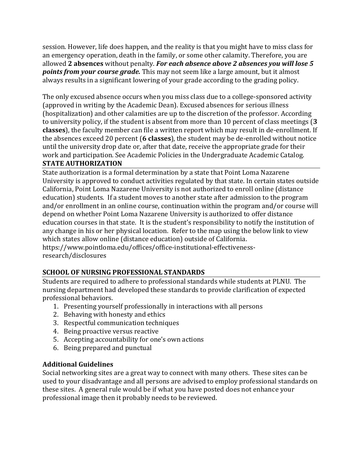session. However, life does happen, and the reality is that you might have to miss class for an emergency operation, death in the family, or some other calamity. Therefore, you are allowed **2 absences** without penalty. *For each absence above 2 absences you will lose 5 points from your course grade.* This may not seem like a large amount, but it almost always results in a significant lowering of your grade according to the grading policy.

The only excused absence occurs when you miss class due to a college-sponsored activity (approved in writing by the Academic Dean). Excused absences for serious illness (hospitalization) and other calamities are up to the discretion of the professor. According to university policy, if the student is absent from more than 10 percent of class meetings (**3 classes**), the faculty member can file a written report which may result in de-enrollment. If the absences exceed 20 percent (**6 classes**), the student may be de-enrolled without notice until the university drop date or, after that date, receive the appropriate grade for their work and participation. See Academic Policies in the Undergraduate Academic Catalog.

# **STATE AUTHORIZATION**

State authorization is a formal determination by a state that Point Loma Nazarene University is approved to conduct activities regulated by that state. In certain states outside California, Point Loma Nazarene University is not authorized to enroll online (distance education) students. If a student moves to another state after admission to the program and/or enrollment in an online course, continuation within the program and/or course will depend on whether Point Loma Nazarene University is authorized to offer distance education courses in that state. It is the student's responsibility to notify the institution of any change in his or her physical location. Refer to the map using the below link to view which states allow online (distance education) outside of California.

https://www.pointloma.edu/offices/office-institutional-effectivenessresearch/disclosures

# **SCHOOL OF NURSING PROFESSIONAL STANDARDS**

Students are required to adhere to professional standards while students at PLNU. The nursing department had developed these standards to provide clarification of expected professional behaviors.

- 1. Presenting yourself professionally in interactions with all persons
- 2. Behaving with honesty and ethics
- 3. Respectful communication techniques
- 4. Being proactive versus reactive
- 5. Accepting accountability for one's own actions
- 6. Being prepared and punctual

# **Additional Guidelines**

Social networking sites are a great way to connect with many others. These sites can be used to your disadvantage and all persons are advised to employ professional standards on these sites. A general rule would be if what you have posted does not enhance your professional image then it probably needs to be reviewed.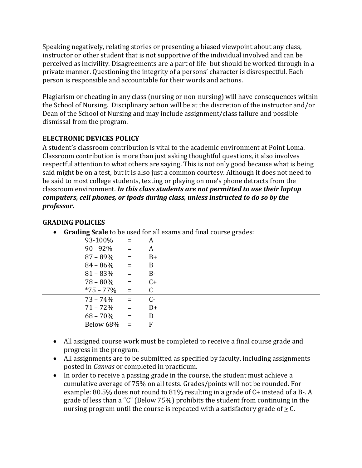Speaking negatively, relating stories or presenting a biased viewpoint about any class, instructor or other student that is not supportive of the individual involved and can be perceived as incivility. Disagreements are a part of life- but should be worked through in a private manner. Questioning the integrity of a persons' character is disrespectful. Each person is responsible and accountable for their words and actions.

Plagiarism or cheating in any class (nursing or non-nursing) will have consequences within the School of Nursing. Disciplinary action will be at the discretion of the instructor and/or Dean of the School of Nursing and may include assignment/class failure and possible dismissal from the program.

# **ELECTRONIC DEVICES POLICY**

A student's classroom contribution is vital to the academic environment at Point Loma. Classroom contribution is more than just asking thoughtful questions, it also involves respectful attention to what others are saying. This is not only good because what is being said might be on a test, but it is also just a common courtesy. Although it does not need to be said to most college students, texting or playing on one's phone detracts from the classroom environment. *In this class students are not permitted to use their laptop computers, cell phones, or ipods during class, unless instructed to do so by the professor.* 

#### **GRADING POLICIES**

| $\bullet$ |               |                              |       | <b>Grading Scale</b> to be used for all exams and final course grades: |
|-----------|---------------|------------------------------|-------|------------------------------------------------------------------------|
|           | 93-100%       | $=$                          | A     |                                                                        |
|           | $90 - 92\% =$ |                              | A-    |                                                                        |
|           | $87 - 89\% =$ |                              | $B+$  |                                                                        |
|           | $84 - 86\%$   | $\alpha_{\rm c} \equiv 0.05$ | B     |                                                                        |
|           | $81 - 83\%$   | $\alpha = 0$                 | $B -$ |                                                                        |
|           | $78 - 80\%$   | $\alpha_{\rm c} = 0$         | $C+$  |                                                                        |
|           | $*75 - 77\%$  | $=$                          |       |                                                                        |
|           | $73 - 74\%$   | $\mathbf{r} = \mathbf{r}$    | $C-$  |                                                                        |
|           | $71 - 72\% =$ |                              | D+    |                                                                        |
|           | $68 - 70\%$   | $=$                          | D     |                                                                        |
|           | Below 68%     | $=$                          | F     |                                                                        |

- All assigned course work must be completed to receive a final course grade and progress in the program.
- All assignments are to be submitted as specified by faculty, including assignments posted in *Canvas* or completed in practicum.
- In order to receive a passing grade in the course, the student must achieve a cumulative average of 75% on all tests. Grades/points will not be rounded. For example: 80.5% does not round to 81% resulting in a grade of C+ instead of a B-. A grade of less than a "C" (Below 75%) prohibits the student from continuing in the nursing program until the course is repeated with a satisfactory grade of  $\geq$  C.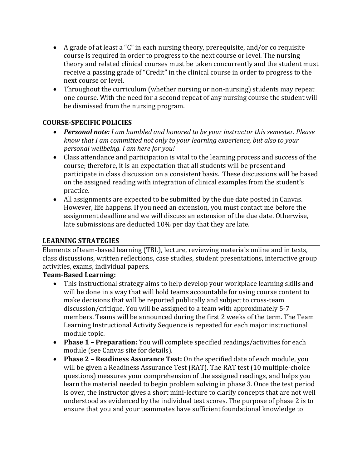- A grade of at least a "C" in each nursing theory, prerequisite, and/or co requisite course is required in order to progress to the next course or level. The nursing theory and related clinical courses must be taken concurrently and the student must receive a passing grade of "Credit" in the clinical course in order to progress to the next course or level.
- Throughout the curriculum (whether nursing or non-nursing) students may repeat one course. With the need for a second repeat of any nursing course the student will be dismissed from the nursing program.

# **COURSE-SPECIFIC POLICIES**

- *Personal note: I am humbled and honored to be your instructor this semester. Please know that I am committed not only to your learning experience, but also to your personal wellbeing. I am here for you!*
- Class attendance and participation is vital to the learning process and success of the course; therefore, it is an expectation that all students will be present and participate in class discussion on a consistent basis. These discussions will be based on the assigned reading with integration of clinical examples from the student's practice.
- All assignments are expected to be submitted by the due date posted in Canvas. However, life happens. If you need an extension, you must contact me before the assignment deadline and we will discuss an extension of the due date. Otherwise, late submissions are deducted 10% per day that they are late.

# **LEARNING STRATEGIES**

Elements of team-based learning (TBL), lecture, reviewing materials online and in texts, class discussions, written reflections, case studies, student presentations, interactive group activities, exams, individual papers.

# **Team-Based Learning:**

- This instructional strategy aims to help develop your workplace learning skills and will be done in a way that will hold teams accountable for using course content to make decisions that will be reported publically and subject to cross-team discussion/critique. You will be assigned to a team with approximately 5-7 members. Teams will be announced during the first 2 weeks of the term. The Team Learning Instructional Activity Sequence is repeated for each major instructional module topic.
- **Phase 1 – Preparation:** You will complete specified readings/activities for each module (see Canvas site for details).
- **Phase 2 – Readiness Assurance Test:** On the specified date of each module, you will be given a Readiness Assurance Test (RAT). The RAT test (10 multiple-choice questions) measures your comprehension of the assigned readings, and helps you learn the material needed to begin problem solving in phase 3. Once the test period is over, the instructor gives a short mini-lecture to clarify concepts that are not well understood as evidenced by the individual test scores. The purpose of phase 2 is to ensure that you and your teammates have sufficient foundational knowledge to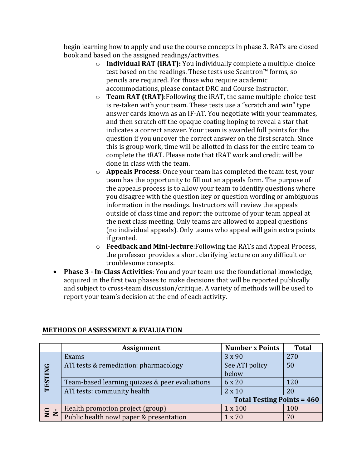begin learning how to apply and use the course concepts in phase 3. RATs are closed book and based on the assigned readings/activities.

- o **Individual RAT (iRAT):** You individually complete a multiple-choice test based on the readings. These tests use Scantron™ forms, so pencils are required. For those who require academic accommodations, please contact DRC and Course Instructor.
- o **Team RAT (tRAT)**:Following the iRAT, the same multiple-choice test is re-taken with your team. These tests use a "scratch and win" type answer cards known as an IF-AT. You negotiate with your teammates, and then scratch off the opaque coating hoping to reveal a star that indicates a correct answer. Your team is awarded full points for the question if you uncover the correct answer on the first scratch. Since this is group work, time will be allotted in class for the entire team to complete the tRAT. Please note that tRAT work and credit will be done in class with the team.
- o **Appeals Process**: Once your team has completed the team test, your team has the opportunity to fill out an appeals form. The purpose of the appeals process is to allow your team to identify questions where you disagree with the question key or question wording or ambiguous information in the readings. Instructors will review the appeals outside of class time and report the outcome of your team appeal at the next class meeting. Only teams are allowed to appeal questions (no individual appeals). Only teams who appeal will gain extra points if granted.
- o **Feedback and Mini-lecture**:Following the RATs and Appeal Process, the professor provides a short clarifying lecture on any difficult or troublesome concepts.
- **Phase 3 - In-Class Activities**: You and your team use the foundational knowledge, acquired in the first two phases to make decisions that will be reported publically and subject to cross-team discussion/critique. A variety of methods will be used to report your team's decision at the end of each activity.

|                | <b>Assignment</b>                              | <b>Number x Points</b>            | <b>Total</b> |
|----------------|------------------------------------------------|-----------------------------------|--------------|
|                | Exams                                          | 3 x 90                            | 270          |
|                | ATI tests & remediation: pharmacology          | See ATI policy                    | 50           |
|                |                                                | below                             |              |
| <b>TESTING</b> | Team-based learning quizzes & peer evaluations | 6 x 20                            | 120          |
|                | ATI tests: community health                    | $2 \times 10$                     | 20           |
|                |                                                | <b>Total Testing Points = 460</b> |              |
| $\mathbf{S}$   | Health promotion project (group)               | 1 x 100                           | 100          |
|                | Public health now! paper & presentation        | $1 \times 70$                     | 70           |

#### **METHODS OF ASSESSMENT & EVALUATION**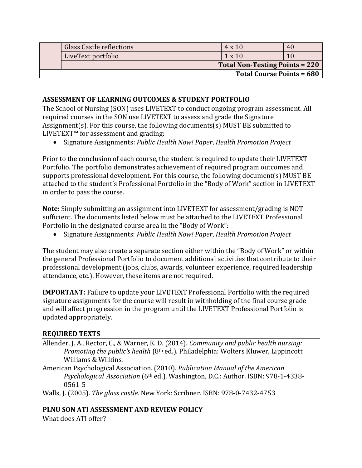|                                  | Glass Castle reflections | $4 \times 10$                         | 40 |  |
|----------------------------------|--------------------------|---------------------------------------|----|--|
|                                  | LiveText portfolio       | $1 \times 10$                         |    |  |
|                                  |                          | <b>Total Non-Testing Points = 220</b> |    |  |
| <b>Total Course Points = 680</b> |                          |                                       |    |  |

# **ASSESSMENT OF LEARNING OUTCOMES & STUDENT PORTFOLIO**

The School of Nursing (SON) uses LIVETEXT to conduct ongoing program assessment. All required courses in the SON use LIVETEXT to assess and grade the Signature Assignment(s). For this course, the following documents(s) MUST BE submitted to LIVETEXT™ for assessment and grading:

• Signature Assignments: *Public Health Now! Paper*, *Health Promotion Project*

Prior to the conclusion of each course, the student is required to update their LIVETEXT Portfolio. The portfolio demonstrates achievement of required program outcomes and supports professional development. For this course, the following document(s) MUST BE attached to the student's Professional Portfolio in the "Body of Work" section in LIVETEXT in order to pass the course.

**Note:** Simply submitting an assignment into LIVETEXT for assessment/grading is NOT sufficient. The documents listed below must be attached to the LIVETEXT Professional Portfolio in the designated course area in the "Body of Work":

• Signature Assignments: *Public Health Now! Paper*, *Health Promotion Project*

The student may also create a separate section either within the "Body of Work" or within the general Professional Portfolio to document additional activities that contribute to their professional development (jobs, clubs, awards, volunteer experience, required leadership attendance, etc.). However, these items are not required.

**IMPORTANT:** Failure to update your LIVETEXT Professional Portfolio with the required signature assignments for the course will result in withholding of the final course grade and will affect progression in the program until the LIVETEXT Professional Portfolio is updated appropriately.

#### **REQUIRED TEXTS**

- Allender, J. A., Rector, C., & Warner, K. D. (2014). *Community and public health nursing: Promoting the public's health* (8th ed.). Philadelphia: Wolters Kluwer, Lippincott Williams & Wilkins.
- American Psychological Association. (2010). *Publication Manual of the American Psychological Association* (6th ed.). Washington, D.C.: Author. ISBN: 978-1-4338- 0561-5

Walls, J. (2005). *The glass castle*. New York: Scribner. ISBN: 978-0-7432-4753

#### **PLNU SON ATI ASSESSMENT AND REVIEW POLICY**

What does ATI offer?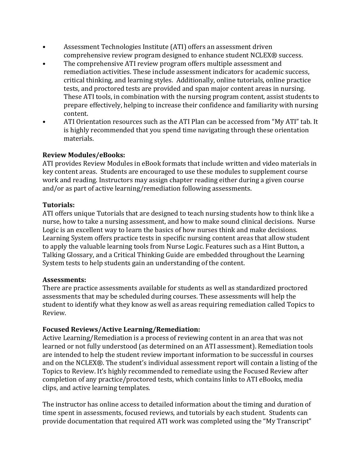- Assessment Technologies Institute (ATI) offers an assessment driven comprehensive review program designed to enhance student NCLEX® success.
- The comprehensive ATI review program offers multiple assessment and remediation activities. These include assessment indicators for academic success, critical thinking, and learning styles. Additionally, online tutorials, online practice tests, and proctored tests are provided and span major content areas in nursing. These ATI tools, in combination with the nursing program content, assist students to prepare effectively, helping to increase their confidence and familiarity with nursing content.
- ATI Orientation resources such as the ATI Plan can be accessed from "My ATI" tab. It is highly recommended that you spend time navigating through these orientation materials.

# **Review Modules/eBooks:**

ATI provides Review Modules in eBook formats that include written and video materials in key content areas. Students are encouraged to use these modules to supplement course work and reading. Instructors may assign chapter reading either during a given course and/or as part of active learning/remediation following assessments.

# **Tutorials:**

ATI offers unique Tutorials that are designed to teach nursing students how to think like a nurse, how to take a nursing assessment, and how to make sound clinical decisions. Nurse Logic is an excellent way to learn the basics of how nurses think and make decisions. Learning System offers practice tests in specific nursing content areas that allow student to apply the valuable learning tools from Nurse Logic. Features such as a Hint Button, a Talking Glossary, and a Critical Thinking Guide are embedded throughout the Learning System tests to help students gain an understanding of the content.

#### **Assessments:**

There are practice assessments available for students as well as standardized proctored assessments that may be scheduled during courses. These assessments will help the student to identify what they know as well as areas requiring remediation called Topics to Review.

# **Focused Reviews/Active Learning/Remediation:**

Active Learning/Remediation is a process of reviewing content in an area that was not learned or not fully understood (as determined on an ATI assessment). Remediation tools are intended to help the student review important information to be successful in courses and on the NCLEX®. The student's individual assessment report will contain a listing of the Topics to Review. It's highly recommended to remediate using the Focused Review after completion of any practice/proctored tests, which contains links to ATI eBooks, media clips, and active learning templates.

The instructor has online access to detailed information about the timing and duration of time spent in assessments, focused reviews, and tutorials by each student. Students can provide documentation that required ATI work was completed using the "My Transcript"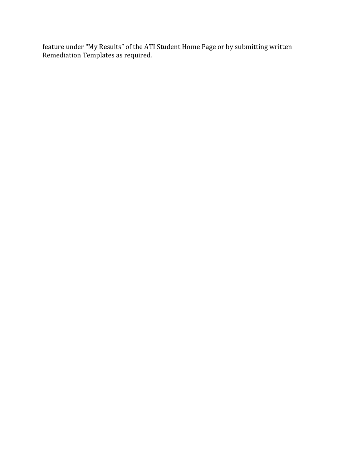feature under "My Results" of the ATI Student Home Page or by submitting written Remediation Templates as required.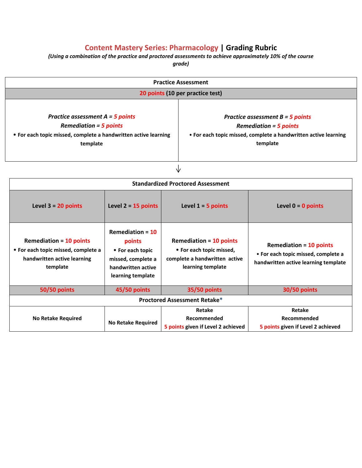# **Content Mastery Series: Pharmacology | Grading Rubric**

*(Using a combination of the practice and proctored assessments to achieve approximately 10% of the course*

*grade)*

| <b>Practice Assessment</b>                                                                                                                                                                                                                                                                               |                                                                                                                   |                                                                                                                  |                                                                                                               |  |
|----------------------------------------------------------------------------------------------------------------------------------------------------------------------------------------------------------------------------------------------------------------------------------------------------------|-------------------------------------------------------------------------------------------------------------------|------------------------------------------------------------------------------------------------------------------|---------------------------------------------------------------------------------------------------------------|--|
| 20 points (10 per practice test)                                                                                                                                                                                                                                                                         |                                                                                                                   |                                                                                                                  |                                                                                                               |  |
| Practice assessment $A = 5$ points<br>Practice assessment $B = 5$ points<br><b>Remediation = 5 points</b><br><b>Remediation = 5 points</b><br>• For each topic missed, complete a handwritten active learning<br>• For each topic missed, complete a handwritten active learning<br>template<br>template |                                                                                                                   |                                                                                                                  |                                                                                                               |  |
|                                                                                                                                                                                                                                                                                                          |                                                                                                                   | ∿                                                                                                                |                                                                                                               |  |
|                                                                                                                                                                                                                                                                                                          |                                                                                                                   | <b>Standardized Proctored Assessment</b>                                                                         |                                                                                                               |  |
| Level $3 = 20$ points                                                                                                                                                                                                                                                                                    | Level $2 - 15$ points                                                                                             | Level $1 - 5$ points                                                                                             | Level $0 = 0$ points                                                                                          |  |
| <b>Remediation = 10 points</b><br>• For each topic missed, complete a<br>handwritten active learning<br>template                                                                                                                                                                                         | Remediation = $10$<br>points<br>• For each topic<br>missed, complete a<br>handwritten active<br>learning template | <b>Remediation = 10 points</b><br>• For each topic missed,<br>complete a handwritten active<br>learning template | <b>Remediation = 10 points</b><br>• For each topic missed, complete a<br>handwritten active learning template |  |
| <b>50/50 points</b>                                                                                                                                                                                                                                                                                      | 45/50 points                                                                                                      | <b>35/50 points</b>                                                                                              | <b>30/50 points</b>                                                                                           |  |
|                                                                                                                                                                                                                                                                                                          |                                                                                                                   | <b>Proctored Assessment Retake*</b>                                                                              |                                                                                                               |  |
| <b>No Retake Required</b>                                                                                                                                                                                                                                                                                | <b>No Retake Required</b>                                                                                         | Retake<br>Recommended<br>5 points given if Level 2 achieved                                                      | Retake<br>Recommended<br>5 points given if Level 2 achieved                                                   |  |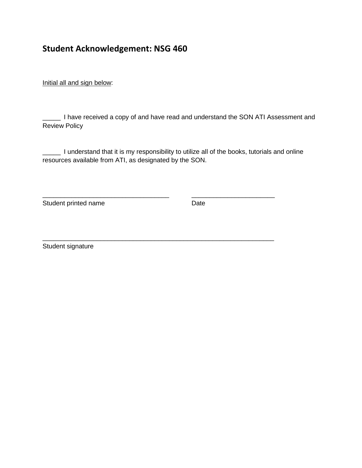# **Student Acknowledgement: NSG 460**

Initial all and sign below:

\_\_\_\_\_ I have received a copy of and have read and understand the SON ATI Assessment and Review Policy

\_\_\_\_\_ I understand that it is my responsibility to utilize all of the books, tutorials and online resources available from ATI, as designated by the SON.

\_\_\_\_\_\_\_\_\_\_\_\_\_\_\_\_\_\_\_\_\_\_\_\_\_\_\_\_\_\_\_\_\_\_\_ \_\_\_\_\_\_\_\_\_\_\_\_\_\_\_\_\_\_\_\_\_\_\_

\_\_\_\_\_\_\_\_\_\_\_\_\_\_\_\_\_\_\_\_\_\_\_\_\_\_\_\_\_\_\_\_\_\_\_\_\_\_\_\_\_\_\_\_\_\_\_\_\_\_\_\_\_\_\_\_\_\_\_\_\_\_\_\_

Student printed name **Date** 

Student signature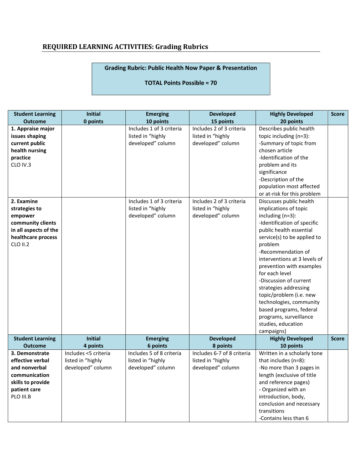# **REQUIRED LEARNING ACTIVITIES: Grading Rubrics**

# **Grading Rubric: Public Health Now Paper & Presentation**

#### **TOTAL Points Possible = 70**

| <b>Student Learning</b>                                                                                                       | <b>Initial</b>                         | <b>Emerging</b>                                                    | <b>Developed</b>                                                   | <b>Highly Developed</b>                                                                                                                                                                                                                                                                                                                                                                                                                                                        | <b>Score</b> |
|-------------------------------------------------------------------------------------------------------------------------------|----------------------------------------|--------------------------------------------------------------------|--------------------------------------------------------------------|--------------------------------------------------------------------------------------------------------------------------------------------------------------------------------------------------------------------------------------------------------------------------------------------------------------------------------------------------------------------------------------------------------------------------------------------------------------------------------|--------------|
| <b>Outcome</b>                                                                                                                | 0 points                               | 10 points                                                          | 15 points                                                          | 20 points                                                                                                                                                                                                                                                                                                                                                                                                                                                                      |              |
| 1. Appraise major<br>issues shaping<br>current public<br>health nursing<br>practice<br>CLO IV.3                               |                                        | Includes 1 of 3 criteria<br>listed in "highly<br>developed" column | Includes 2 of 3 criteria<br>listed in "highly<br>developed" column | Describes public health<br>topic including (n=3):<br>-Summary of topic from<br>chosen article<br>-Identification of the<br>problem and its<br>significance<br>-Description of the                                                                                                                                                                                                                                                                                              |              |
|                                                                                                                               |                                        |                                                                    |                                                                    | population most affected<br>or at-risk for this problem                                                                                                                                                                                                                                                                                                                                                                                                                        |              |
| 2. Examine<br>strategies to<br>empower<br>community clients<br>in all aspects of the<br>healthcare process<br><b>CLO II.2</b> |                                        | Includes 1 of 3 criteria<br>listed in "highly<br>developed" column | Includes 2 of 3 criteria<br>listed in "highly<br>developed" column | Discusses public health<br>implications of topic<br>including (n=3):<br>-Identification of specific<br>public health essential<br>service(s) to be applied to<br>problem<br>-Recommendation of<br>interventions at 3 levels of<br>prevention with examples<br>for each level<br>-Discussion of current<br>strategies addressing<br>topic/problem (i.e. new<br>technologies, community<br>based programs, federal<br>programs, surveillance<br>studies, education<br>campaigns) |              |
| <b>Student Learning</b>                                                                                                       | <b>Initial</b>                         | <b>Emerging</b>                                                    | <b>Developed</b>                                                   | <b>Highly Developed</b>                                                                                                                                                                                                                                                                                                                                                                                                                                                        | <b>Score</b> |
| <b>Outcome</b><br>3. Demonstrate                                                                                              | 4 points<br>Includes <5 criteria       | 6 points<br>Includes 5 of 8 criteria                               | 8 points<br>Includes 6-7 of 8 criteria                             | 10 points<br>Written in a scholarly tone                                                                                                                                                                                                                                                                                                                                                                                                                                       |              |
| effective verbal<br>and nonverbal<br>communication<br>skills to provide<br>patient care<br>PLO III.B                          | listed in "highly<br>developed" column | listed in "highly<br>developed" column                             | listed in "highly<br>developed" column                             | that includes (n=8):<br>-No more than 3 pages in<br>length (exclusive of title<br>and reference pages)<br>- Organized with an<br>introduction, body,<br>conclusion and necessary<br>transitions<br>-Contains less than 6                                                                                                                                                                                                                                                       |              |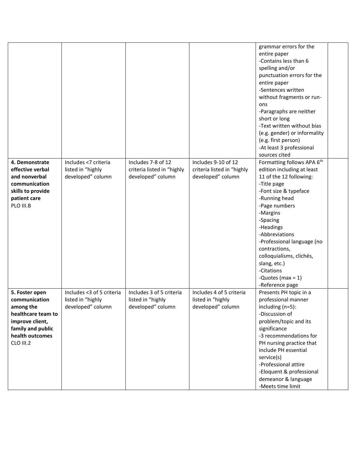|                                                                                                                                            |                                                                     |                                                                       |                                                                        | grammar errors for the<br>entire paper<br>-Contains less than 6<br>spelling and/or<br>punctuation errors for the<br>entire paper<br>-Sentences written<br>without fragments or run-<br>ons<br>-Paragraphs are neither<br>short or long<br>-Text written without bias                                                                                                                      |  |
|--------------------------------------------------------------------------------------------------------------------------------------------|---------------------------------------------------------------------|-----------------------------------------------------------------------|------------------------------------------------------------------------|-------------------------------------------------------------------------------------------------------------------------------------------------------------------------------------------------------------------------------------------------------------------------------------------------------------------------------------------------------------------------------------------|--|
|                                                                                                                                            |                                                                     |                                                                       |                                                                        | (e.g. gender) or informality<br>(e.g. first person)<br>-At least 3 professional                                                                                                                                                                                                                                                                                                           |  |
| 4. Demonstrate<br>effective verbal<br>and nonverbal<br>communication<br>skills to provide<br>patient care<br>PLO III.B                     | Includes <7 criteria<br>listed in "highly<br>developed" column      | Includes 7-8 of 12<br>criteria listed in "highly<br>developed" column | Includes 9-10 of 12<br>criteria listed in "highly<br>developed" column | sources cited<br>Formatting follows APA 6th<br>edition including at least<br>11 of the 12 following:<br>-Title page<br>-Font size & typeface<br>-Running head<br>-Page numbers<br>-Margins<br>-Spacing<br>-Headings<br>-Abbreviations<br>-Professional language (no<br>contractions,<br>colloquialisms, clichés,<br>slang, etc.)<br>-Citations<br>-Quotes (max = $1$ )<br>-Reference page |  |
| 5. Foster open<br>communication<br>among the<br>healthcare team to<br>improve client,<br>family and public<br>health outcomes<br>CLO III.2 | Includes <3 of 5 criteria<br>listed in "highly<br>developed" column | Includes 3 of 5 criteria<br>listed in "highly<br>developed" column    | Includes 4 of 5 criteria<br>listed in "highly<br>developed" column     | Presents PH topic in a<br>professional manner<br>including (n=5):<br>-Discussion of<br>problem/topic and its<br>significance<br>-3 recommendations for<br>PH nursing practice that<br>include PH essential<br>service(s)<br>-Professional attire<br>-Eloquent & professional<br>demeanor & language<br>-Meets time limit                                                                  |  |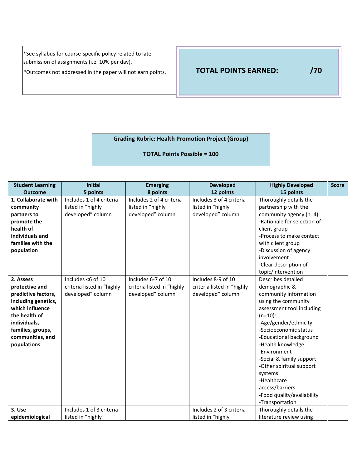\*See syllabus for course-specific policy related to late submission of assignments (i.e. 10% per day).

\*Outcomes not addressed in the paper will not earn points. **TOTAL POINTS EARNED: /70**

# **Grading Rubric: Health Promotion Project (Group)**

**TOTAL Points Possible = 100**

| <b>Student Learning</b>                                                                                                                                                               | <b>Initial</b>                                                       | <b>Emerging</b>                                                       | <b>Developed</b>                                                      | <b>Highly Developed</b>                                                                                                                                                                                                                                                                                                                                                                                | <b>Score</b> |
|---------------------------------------------------------------------------------------------------------------------------------------------------------------------------------------|----------------------------------------------------------------------|-----------------------------------------------------------------------|-----------------------------------------------------------------------|--------------------------------------------------------------------------------------------------------------------------------------------------------------------------------------------------------------------------------------------------------------------------------------------------------------------------------------------------------------------------------------------------------|--------------|
| <b>Outcome</b>                                                                                                                                                                        | 5 points                                                             | 8 points                                                              | 12 points                                                             | 15 points                                                                                                                                                                                                                                                                                                                                                                                              |              |
| 1. Collaborate with<br>community<br>partners to<br>promote the<br>health of<br>individuals and<br>families with the<br>population                                                     | Includes 1 of 4 criteria<br>listed in "highly<br>developed" column   | Includes 2 of 4 criteria<br>listed in "highly<br>developed" column    | Includes 3 of 4 criteria<br>listed in "highly<br>developed" column    | Thoroughly details the<br>partnership with the<br>community agency (n=4):<br>-Rationale for selection of<br>client group<br>-Process to make contact<br>with client group<br>-Discussion of agency<br>involvement<br>-Clear description of<br>topic/intervention                                                                                                                                       |              |
| 2. Assess<br>protective and<br>predictive factors,<br>including genetics,<br>which influence<br>the health of<br>individuals,<br>families, groups,<br>communities, and<br>populations | Includes <6 of 10<br>criteria listed in "highly<br>developed" column | Includes 6-7 of 10<br>criteria listed in "highly<br>developed" column | Includes 8-9 of 10<br>criteria listed in "highly<br>developed" column | Describes detailed<br>demographic &<br>community information<br>using the community<br>assessment tool including<br>$(n=10)$ :<br>-Age/gender/ethnicity<br>-Socioeconomic status<br>-Educational background<br>-Health knowledge<br>-Environment<br>-Social & family support<br>-Other spiritual support<br>systems<br>-Healthcare<br>access/barriers<br>-Food quality/availability<br>-Transportation |              |
| 3. Use<br>epidemiological                                                                                                                                                             | Includes 1 of 3 criteria<br>listed in "highly                        |                                                                       | Includes 2 of 3 criteria<br>listed in "highly                         | Thoroughly details the<br>literature review using                                                                                                                                                                                                                                                                                                                                                      |              |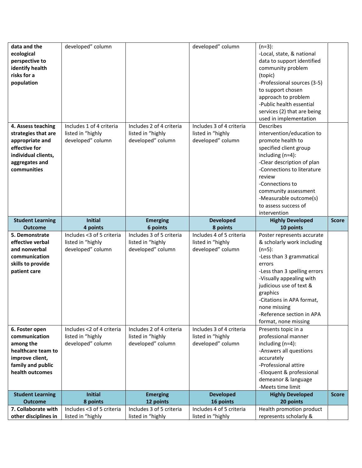| data and the                                | developed" column                              |                                               | developed" column                             | $(n=3):$                                                |              |
|---------------------------------------------|------------------------------------------------|-----------------------------------------------|-----------------------------------------------|---------------------------------------------------------|--------------|
| ecological<br>perspective to                |                                                |                                               |                                               | -Local, state, & national<br>data to support identified |              |
|                                             |                                                |                                               |                                               |                                                         |              |
| identify health<br>risks for a              |                                                |                                               |                                               | community problem                                       |              |
|                                             |                                                |                                               |                                               | (topic)                                                 |              |
| population                                  |                                                |                                               |                                               | -Professional sources (3-5)                             |              |
|                                             |                                                |                                               |                                               | to support chosen                                       |              |
|                                             |                                                |                                               |                                               | approach to problem<br>-Public health essential         |              |
|                                             |                                                |                                               |                                               |                                                         |              |
|                                             |                                                |                                               |                                               | services (2) that are being                             |              |
| 4. Assess teaching                          | Includes 1 of 4 criteria                       | Includes 2 of 4 criteria                      | Includes 3 of 4 criteria                      | used in implementation<br><b>Describes</b>              |              |
| strategies that are                         | listed in "highly                              | listed in "highly                             | listed in "highly                             | intervention/education to                               |              |
| appropriate and                             | developed" column                              | developed" column                             | developed" column                             | promote health to                                       |              |
| effective for                               |                                                |                                               |                                               | specified client group                                  |              |
| individual clients,                         |                                                |                                               |                                               | including (n=4):                                        |              |
| aggregates and                              |                                                |                                               |                                               | -Clear description of plan                              |              |
| communities                                 |                                                |                                               |                                               | -Connections to literature                              |              |
|                                             |                                                |                                               |                                               | review                                                  |              |
|                                             |                                                |                                               |                                               | -Connections to                                         |              |
|                                             |                                                |                                               |                                               | community assessment                                    |              |
|                                             |                                                |                                               |                                               | -Measurable outcome(s)                                  |              |
|                                             |                                                |                                               |                                               | to assess success of                                    |              |
|                                             |                                                |                                               |                                               | intervention                                            |              |
| <b>Student Learning</b>                     | <b>Initial</b>                                 | <b>Emerging</b>                               | <b>Developed</b>                              | <b>Highly Developed</b>                                 | <b>Score</b> |
| <b>Outcome</b>                              | 4 points                                       | 6 points                                      | 8 points                                      | 10 points                                               |              |
|                                             |                                                |                                               |                                               |                                                         |              |
| 5. Demonstrate                              | Includes <3 of 5 criteria                      | Includes 3 of 5 criteria                      | Includes 4 of 5 criteria                      | Poster represents accurate                              |              |
| effective verbal                            | listed in "highly                              | listed in "highly                             | listed in "highly                             | & scholarly work including                              |              |
| and nonverbal                               | developed" column                              | developed" column                             | developed" column                             | $(n=5):$                                                |              |
| communication                               |                                                |                                               |                                               | -Less than 3 grammatical                                |              |
| skills to provide                           |                                                |                                               |                                               | errors                                                  |              |
| patient care                                |                                                |                                               |                                               | -Less than 3 spelling errors                            |              |
|                                             |                                                |                                               |                                               | -Visually appealing with                                |              |
|                                             |                                                |                                               |                                               | judicious use of text &                                 |              |
|                                             |                                                |                                               |                                               | graphics                                                |              |
|                                             |                                                |                                               |                                               | -Citations in APA format,                               |              |
|                                             |                                                |                                               |                                               | none missing                                            |              |
|                                             |                                                |                                               |                                               | -Reference section in APA                               |              |
|                                             |                                                |                                               |                                               | format, none missing                                    |              |
| 6. Foster open                              | Includes <2 of 4 criteria                      | Includes 2 of 4 criteria                      | Includes 3 of 4 criteria                      | Presents topic in a                                     |              |
| communication                               | listed in "highly                              | listed in "highly                             | listed in "highly                             | professional manner                                     |              |
| among the                                   | developed" column                              | developed" column                             | developed" column                             | including (n=4):                                        |              |
| healthcare team to                          |                                                |                                               |                                               | -Answers all questions<br>accurately                    |              |
| improve client,                             |                                                |                                               |                                               | -Professional attire                                    |              |
| family and public<br>health outcomes        |                                                |                                               |                                               |                                                         |              |
|                                             |                                                |                                               |                                               | -Eloquent & professional<br>demeanor & language         |              |
|                                             |                                                |                                               |                                               | -Meets time limit                                       |              |
| <b>Student Learning</b>                     | <b>Initial</b>                                 | <b>Emerging</b>                               | <b>Developed</b>                              | <b>Highly Developed</b>                                 | <b>Score</b> |
| <b>Outcome</b>                              | 8 points                                       | 12 points                                     | 16 points                                     | 20 points                                               |              |
| 7. Collaborate with<br>other disciplines in | Includes <3 of 5 criteria<br>listed in "highly | Includes 3 of 5 criteria<br>listed in "highly | Includes 4 of 5 criteria<br>listed in "highly | Health promotion product<br>represents scholarly &      |              |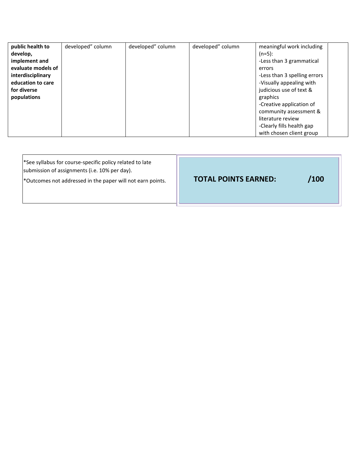| public health to   | developed" column | developed" column | developed" column | meaningful work including    |
|--------------------|-------------------|-------------------|-------------------|------------------------------|
| develop,           |                   |                   |                   | $(n=5):$                     |
| implement and      |                   |                   |                   | -Less than 3 grammatical     |
| evaluate models of |                   |                   |                   | errors                       |
| interdisciplinary  |                   |                   |                   | -Less than 3 spelling errors |
| education to care  |                   |                   |                   | -Visually appealing with     |
| for diverse        |                   |                   |                   | judicious use of text &      |
| populations        |                   |                   |                   | graphics                     |
|                    |                   |                   |                   | -Creative application of     |
|                    |                   |                   |                   | community assessment &       |
|                    |                   |                   |                   | literature review            |
|                    |                   |                   |                   | -Clearly fills health gap    |
|                    |                   |                   |                   | with chosen client group     |

| See syllabus for course-specific policy related to late<br>submission of assignments (i.e. 10% per day).<br>*Outcomes not addressed in the paper will not earn points. | <b>TOTAL POINTS EARNED:</b> | /100 |
|------------------------------------------------------------------------------------------------------------------------------------------------------------------------|-----------------------------|------|
|------------------------------------------------------------------------------------------------------------------------------------------------------------------------|-----------------------------|------|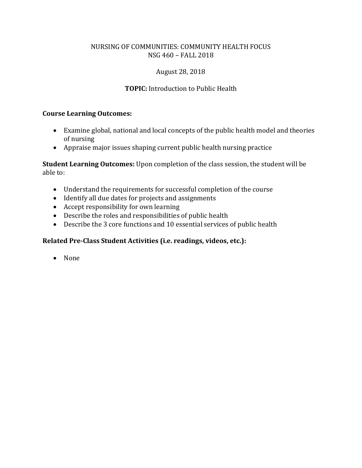# August 28, 2018

# **TOPIC:** Introduction to Public Health

#### **Course Learning Outcomes:**

- Examine global, national and local concepts of the public health model and theories of nursing
- Appraise major issues shaping current public health nursing practice

**Student Learning Outcomes:** Upon completion of the class session, the student will be able to:

- Understand the requirements for successful completion of the course
- Identify all due dates for projects and assignments
- Accept responsibility for own learning
- Describe the roles and responsibilities of public health
- Describe the 3 core functions and 10 essential services of public health

#### **Related Pre-Class Student Activities (i.e. readings, videos, etc.):**

• None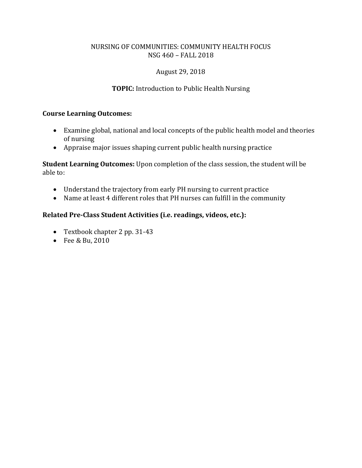# August 29, 2018

# **TOPIC:** Introduction to Public Health Nursing

#### **Course Learning Outcomes:**

- Examine global, national and local concepts of the public health model and theories of nursing
- Appraise major issues shaping current public health nursing practice

**Student Learning Outcomes:** Upon completion of the class session, the student will be able to:

- Understand the trajectory from early PH nursing to current practice
- Name at least 4 different roles that PH nurses can fulfill in the community

# **Related Pre-Class Student Activities (i.e. readings, videos, etc.):**

- Textbook chapter 2 pp. 31-43
- Fee & Bu, 2010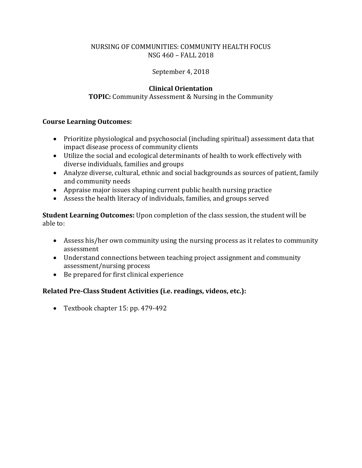# September 4, 2018

# **Clinical Orientation**

## **TOPIC:** Community Assessment & Nursing in the Community

#### **Course Learning Outcomes:**

- Prioritize physiological and psychosocial (including spiritual) assessment data that impact disease process of community clients
- Utilize the social and ecological determinants of health to work effectively with diverse individuals, families and groups
- Analyze diverse, cultural, ethnic and social backgrounds as sources of patient, family and community needs
- Appraise major issues shaping current public health nursing practice
- Assess the health literacy of individuals, families, and groups served

**Student Learning Outcomes:** Upon completion of the class session, the student will be able to:

- Assess his/her own community using the nursing process as it relates to community assessment
- Understand connections between teaching project assignment and community assessment/nursing process
- Be prepared for first clinical experience

#### **Related Pre-Class Student Activities (i.e. readings, videos, etc.):**

• Textbook chapter 15: pp. 479-492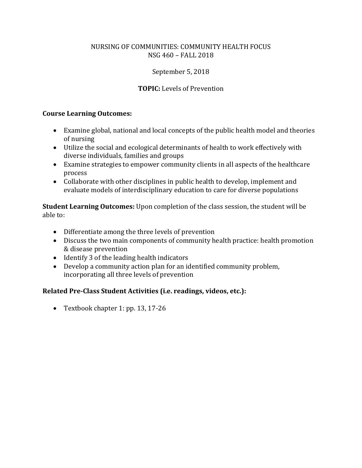# September 5, 2018

# **TOPIC:** Levels of Prevention

#### **Course Learning Outcomes:**

- Examine global, national and local concepts of the public health model and theories of nursing
- Utilize the social and ecological determinants of health to work effectively with diverse individuals, families and groups
- Examine strategies to empower community clients in all aspects of the healthcare process
- Collaborate with other disciplines in public health to develop, implement and evaluate models of interdisciplinary education to care for diverse populations

**Student Learning Outcomes:** Upon completion of the class session, the student will be able to:

- Differentiate among the three levels of prevention
- Discuss the two main components of community health practice: health promotion & disease prevention
- Identify 3 of the leading health indicators
- Develop a community action plan for an identified community problem, incorporating all three levels of prevention

#### **Related Pre-Class Student Activities (i.e. readings, videos, etc.):**

• Textbook chapter 1: pp. 13, 17-26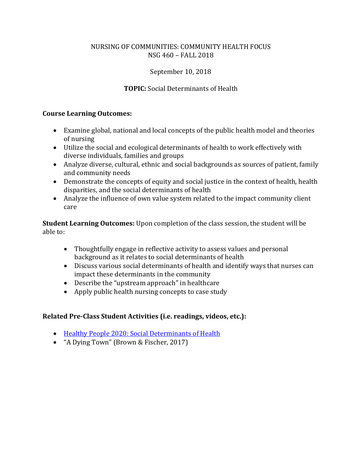# September 10, 2018

# **TOPIC:** Social Determinants of Health

#### **Course Learning Outcomes:**

- Examine global, national and local concepts of the public health model and theories of nursing
- Utilize the social and ecological determinants of health to work effectively with diverse individuals, families and groups
- Analyze diverse, cultural, ethnic and social backgrounds as sources of patient, family and community needs
- Demonstrate the concepts of equity and social justice in the context of health, health disparities, and the social determinants of health
- Analyze the influence of own value system related to the impact community client care

**Student Learning Outcomes:** Upon completion of the class session, the student will be able to:

- Thoughtfully engage in reflective activity to assess values and personal background as it relates to social determinants of health
- Discuss various social determinants of health and identify ways that nurses can impact these determinants in the community
- Describe the "upstream approach" in healthcare
- Apply public health nursing concepts to case study

#### **Related Pre-Class Student Activities (i.e. readings, videos, etc.):**

- [Healthy People 2020: Social Determinants of Health](https://www.healthypeople.gov/2020/topics-objectives/topic/social-determinants-of-health)
- "A Dying Town" (Brown & Fischer, 2017)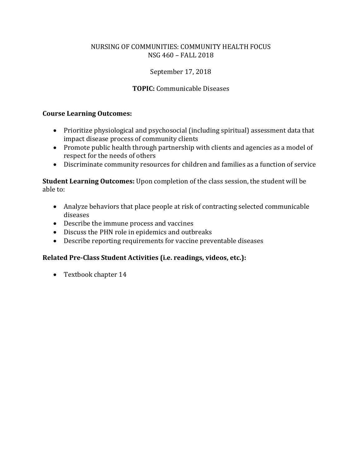# September 17, 2018

# **TOPIC:** Communicable Diseases

#### **Course Learning Outcomes:**

- Prioritize physiological and psychosocial (including spiritual) assessment data that impact disease process of community clients
- Promote public health through partnership with clients and agencies as a model of respect for the needs of others
- Discriminate community resources for children and families as a function of service

**Student Learning Outcomes:** Upon completion of the class session, the student will be able to:

- Analyze behaviors that place people at risk of contracting selected communicable diseases
- Describe the immune process and vaccines
- Discuss the PHN role in epidemics and outbreaks
- Describe reporting requirements for vaccine preventable diseases

#### **Related Pre-Class Student Activities (i.e. readings, videos, etc.):**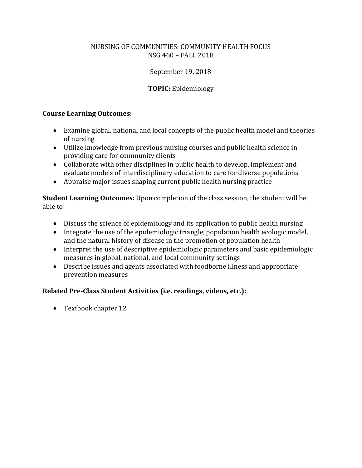# September 19, 2018

# **TOPIC:** Epidemiology

#### **Course Learning Outcomes:**

- Examine global, national and local concepts of the public health model and theories of nursing
- Utilize knowledge from previous nursing courses and public health science in providing care for community clients
- Collaborate with other disciplines in public health to develop, implement and evaluate models of interdisciplinary education to care for diverse populations
- Appraise major issues shaping current public health nursing practice

**Student Learning Outcomes:** Upon completion of the class session, the student will be able to:

- Discuss the science of epidemiology and its application to public health nursing
- Integrate the use of the epidemiologic triangle, population health ecologic model, and the natural history of disease in the promotion of population health
- Interpret the use of descriptive epidemiologic parameters and basic epidemiologic measures in global, national, and local community settings
- Describe issues and agents associated with foodborne illness and appropriate prevention measures

#### **Related Pre-Class Student Activities (i.e. readings, videos, etc.):**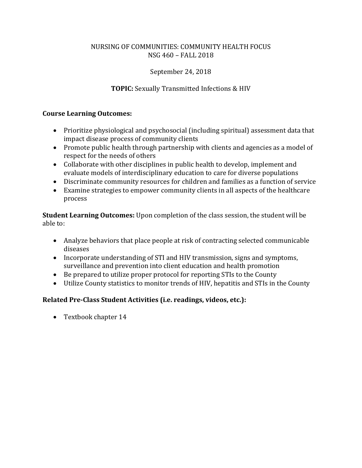# September 24, 2018

# **TOPIC:** Sexually Transmitted Infections & HIV

### **Course Learning Outcomes:**

- Prioritize physiological and psychosocial (including spiritual) assessment data that impact disease process of community clients
- Promote public health through partnership with clients and agencies as a model of respect for the needs of others
- Collaborate with other disciplines in public health to develop, implement and evaluate models of interdisciplinary education to care for diverse populations
- Discriminate community resources for children and families as a function of service
- Examine strategies to empower community clients in all aspects of the healthcare process

**Student Learning Outcomes:** Upon completion of the class session, the student will be able to:

- Analyze behaviors that place people at risk of contracting selected communicable diseases
- Incorporate understanding of STI and HIV transmission, signs and symptoms, surveillance and prevention into client education and health promotion
- Be prepared to utilize proper protocol for reporting STIs to the County
- Utilize County statistics to monitor trends of HIV, hepatitis and STIs in the County

# **Related Pre-Class Student Activities (i.e. readings, videos, etc.):**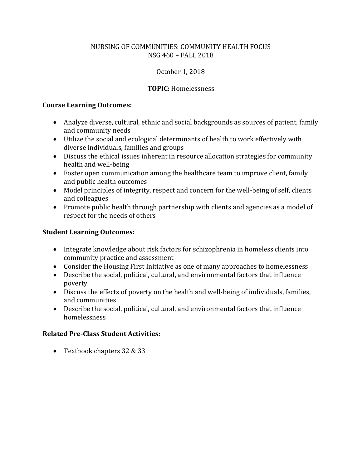# October 1, 2018

# **TOPIC:** Homelessness

## **Course Learning Outcomes:**

- Analyze diverse, cultural, ethnic and social backgrounds as sources of patient, family and community needs
- Utilize the social and ecological determinants of health to work effectively with diverse individuals, families and groups
- Discuss the ethical issues inherent in resource allocation strategies for community health and well-being
- Foster open communication among the healthcare team to improve client, family and public health outcomes
- Model principles of integrity, respect and concern for the well-being of self, clients and colleagues
- Promote public health through partnership with clients and agencies as a model of respect for the needs of others

# **Student Learning Outcomes:**

- Integrate knowledge about risk factors for schizophrenia in homeless clients into community practice and assessment
- Consider the Housing First Initiative as one of many approaches to homelessness
- Describe the social, political, cultural, and environmental factors that influence poverty
- Discuss the effects of poverty on the health and well-being of individuals, families, and communities
- Describe the social, political, cultural, and environmental factors that influence homelessness

# **Related Pre-Class Student Activities:**

• Textbook chapters 32 & 33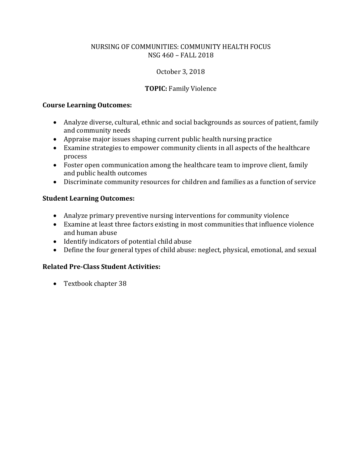# October 3, 2018

# **TOPIC:** Family Violence

#### **Course Learning Outcomes:**

- Analyze diverse, cultural, ethnic and social backgrounds as sources of patient, family and community needs
- Appraise major issues shaping current public health nursing practice
- Examine strategies to empower community clients in all aspects of the healthcare process
- Foster open communication among the healthcare team to improve client, family and public health outcomes
- Discriminate community resources for children and families as a function of service

#### **Student Learning Outcomes:**

- Analyze primary preventive nursing interventions for community violence
- Examine at least three factors existing in most communities that influence violence and human abuse
- Identify indicators of potential child abuse
- Define the four general types of child abuse: neglect, physical, emotional, and sexual

#### **Related Pre-Class Student Activities:**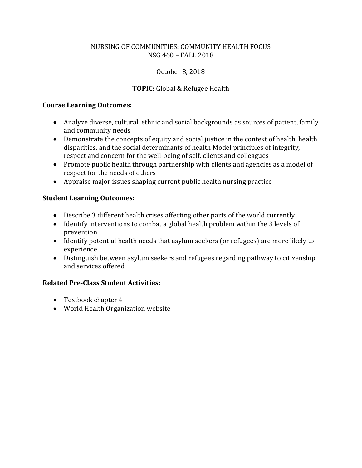# October 8, 2018

# **TOPIC:** Global & Refugee Health

## **Course Learning Outcomes:**

- Analyze diverse, cultural, ethnic and social backgrounds as sources of patient, family and community needs
- Demonstrate the concepts of equity and social justice in the context of health, health disparities, and the social determinants of health Model principles of integrity, respect and concern for the well-being of self, clients and colleagues
- Promote public health through partnership with clients and agencies as a model of respect for the needs of others
- Appraise major issues shaping current public health nursing practice

# **Student Learning Outcomes:**

- Describe 3 different health crises affecting other parts of the world currently
- Identify interventions to combat a global health problem within the 3 levels of prevention
- Identify potential health needs that asylum seekers (or refugees) are more likely to experience
- Distinguish between asylum seekers and refugees regarding pathway to citizenship and services offered

# **Related Pre-Class Student Activities:**

- Textbook chapter 4
- World Health Organization website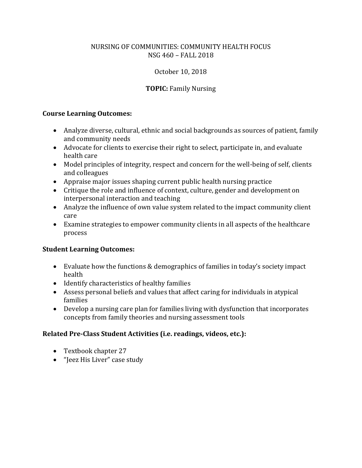# October 10, 2018

# **TOPIC:** Family Nursing

#### **Course Learning Outcomes:**

- Analyze diverse, cultural, ethnic and social backgrounds as sources of patient, family and community needs
- Advocate for clients to exercise their right to select, participate in, and evaluate health care
- Model principles of integrity, respect and concern for the well-being of self, clients and colleagues
- Appraise major issues shaping current public health nursing practice
- Critique the role and influence of context, culture, gender and development on interpersonal interaction and teaching
- Analyze the influence of own value system related to the impact community client care
- Examine strategies to empower community clients in all aspects of the healthcare process

#### **Student Learning Outcomes:**

- Evaluate how the functions & demographics of families in today's society impact health
- Identify characteristics of healthy families
- Assess personal beliefs and values that affect caring for individuals in atypical families
- Develop a nursing care plan for families living with dysfunction that incorporates concepts from family theories and nursing assessment tools

#### **Related Pre-Class Student Activities (i.e. readings, videos, etc.):**

- Textbook chapter 27
- "Jeez His Liver" case study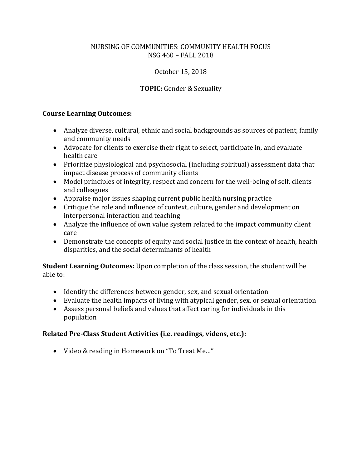# October 15, 2018

# **TOPIC:** Gender & Sexuality

#### **Course Learning Outcomes:**

- Analyze diverse, cultural, ethnic and social backgrounds as sources of patient, family and community needs
- Advocate for clients to exercise their right to select, participate in, and evaluate health care
- Prioritize physiological and psychosocial (including spiritual) assessment data that impact disease process of community clients
- Model principles of integrity, respect and concern for the well-being of self, clients and colleagues
- Appraise major issues shaping current public health nursing practice
- Critique the role and influence of context, culture, gender and development on interpersonal interaction and teaching
- Analyze the influence of own value system related to the impact community client care
- Demonstrate the concepts of equity and social justice in the context of health, health disparities, and the social determinants of health

**Student Learning Outcomes:** Upon completion of the class session, the student will be able to:

- Identify the differences between gender, sex, and sexual orientation
- Evaluate the health impacts of living with atypical gender, sex, or sexual orientation
- Assess personal beliefs and values that affect caring for individuals in this population

#### **Related Pre-Class Student Activities (i.e. readings, videos, etc.):**

• Video & reading in Homework on "To Treat Me…"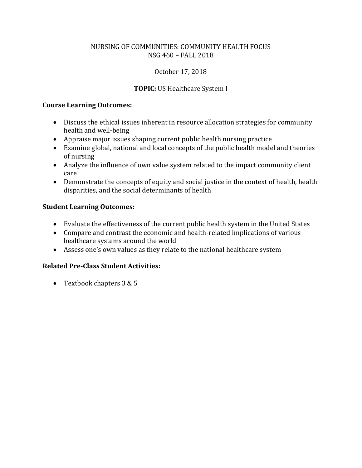# October 17, 2018

# **TOPIC:** US Healthcare System I

#### **Course Learning Outcomes:**

- Discuss the ethical issues inherent in resource allocation strategies for community health and well-being
- Appraise major issues shaping current public health nursing practice
- Examine global, national and local concepts of the public health model and theories of nursing
- Analyze the influence of own value system related to the impact community client care
- Demonstrate the concepts of equity and social justice in the context of health, health disparities, and the social determinants of health

# **Student Learning Outcomes:**

- Evaluate the effectiveness of the current public health system in the United States
- Compare and contrast the economic and health-related implications of various healthcare systems around the world
- Assess one's own values as they relate to the national healthcare system

# **Related Pre-Class Student Activities:**

• Textbook chapters 3 & 5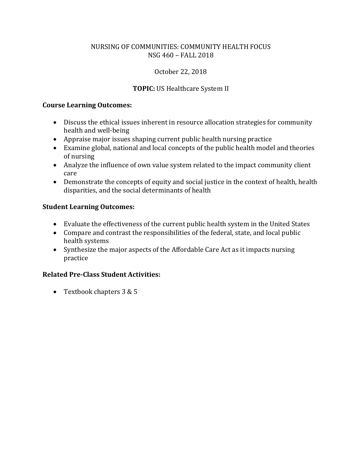# October 22, 2018

# **TOPIC:** US Healthcare System II

#### **Course Learning Outcomes:**

- Discuss the ethical issues inherent in resource allocation strategies for community health and well-being
- Appraise major issues shaping current public health nursing practice
- Examine global, national and local concepts of the public health model and theories of nursing
- Analyze the influence of own value system related to the impact community client care
- Demonstrate the concepts of equity and social justice in the context of health, health disparities, and the social determinants of health

# **Student Learning Outcomes:**

- Evaluate the effectiveness of the current public health system in the United States
- Compare and contrast the responsibilities of the federal, state, and local public health systems
- Synthesize the major aspects of the Affordable Care Act as it impacts nursing practice

# **Related Pre-Class Student Activities:**

• Textbook chapters 3 & 5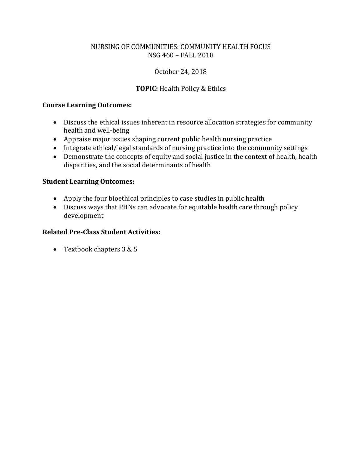# October 24, 2018

# **TOPIC:** Health Policy & Ethics

#### **Course Learning Outcomes:**

- Discuss the ethical issues inherent in resource allocation strategies for community health and well-being
- Appraise major issues shaping current public health nursing practice
- Integrate ethical/legal standards of nursing practice into the community settings
- Demonstrate the concepts of equity and social justice in the context of health, health disparities, and the social determinants of health

#### **Student Learning Outcomes:**

- Apply the four bioethical principles to case studies in public health
- Discuss ways that PHNs can advocate for equitable health care through policy development

#### **Related Pre-Class Student Activities:**

• Textbook chapters 3 & 5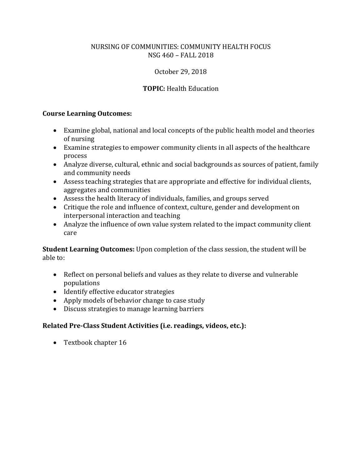# October 29, 2018

# **TOPIC:** Health Education

#### **Course Learning Outcomes:**

- Examine global, national and local concepts of the public health model and theories of nursing
- Examine strategies to empower community clients in all aspects of the healthcare process
- Analyze diverse, cultural, ethnic and social backgrounds as sources of patient, family and community needs
- Assess teaching strategies that are appropriate and effective for individual clients, aggregates and communities
- Assess the health literacy of individuals, families, and groups served
- Critique the role and influence of context, culture, gender and development on interpersonal interaction and teaching
- Analyze the influence of own value system related to the impact community client care

**Student Learning Outcomes:** Upon completion of the class session, the student will be able to:

- Reflect on personal beliefs and values as they relate to diverse and vulnerable populations
- Identify effective educator strategies
- Apply models of behavior change to case study
- Discuss strategies to manage learning barriers

#### **Related Pre-Class Student Activities (i.e. readings, videos, etc.):**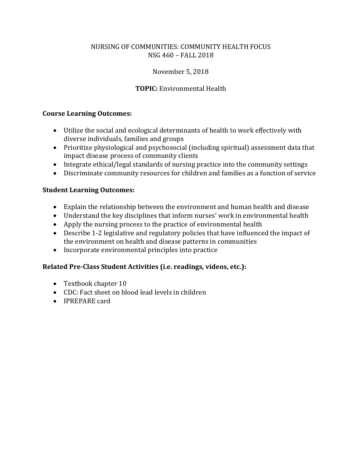# November 5, 2018

# **TOPIC:** Environmental Health

#### **Course Learning Outcomes:**

- Utilize the social and ecological determinants of health to work effectively with diverse individuals, families and groups
- Prioritize physiological and psychosocial (including spiritual) assessment data that impact disease process of community clients
- Integrate ethical/legal standards of nursing practice into the community settings
- Discriminate community resources for children and families as a function of service

#### **Student Learning Outcomes:**

- Explain the relationship between the environment and human health and disease
- Understand the key disciplines that inform nurses' work in environmental health
- Apply the nursing process to the practice of environmental health
- Describe 1-2 legislative and regulatory policies that have influenced the impact of the environment on health and disease patterns in communities
- Incorporate environmental principles into practice

#### **Related Pre-Class Student Activities (i.e. readings, videos, etc.):**

- Textbook chapter 10
- CDC: Fact sheet on blood lead levels in children
- IPREPARE card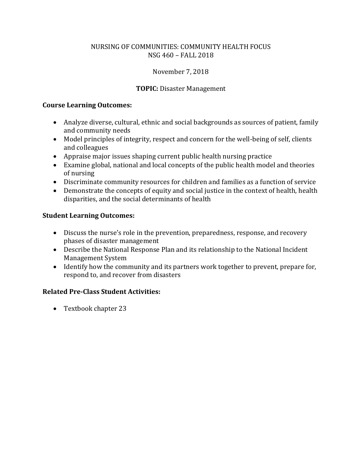# November 7, 2018

# **TOPIC:** Disaster Management

#### **Course Learning Outcomes:**

- Analyze diverse, cultural, ethnic and social backgrounds as sources of patient, family and community needs
- Model principles of integrity, respect and concern for the well-being of self, clients and colleagues
- Appraise major issues shaping current public health nursing practice
- Examine global, national and local concepts of the public health model and theories of nursing
- Discriminate community resources for children and families as a function of service
- Demonstrate the concepts of equity and social justice in the context of health, health disparities, and the social determinants of health

# **Student Learning Outcomes:**

- Discuss the nurse's role in the prevention, preparedness, response, and recovery phases of disaster management
- Describe the National Response Plan and its relationship to the National Incident Management System
- Identify how the community and its partners work together to prevent, prepare for, respond to, and recover from disasters

# **Related Pre-Class Student Activities:**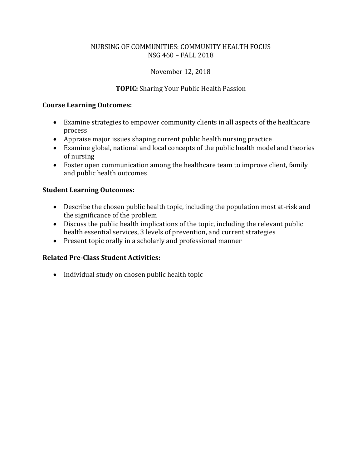# November 12, 2018

# **TOPIC:** Sharing Your Public Health Passion

#### **Course Learning Outcomes:**

- Examine strategies to empower community clients in all aspects of the healthcare process
- Appraise major issues shaping current public health nursing practice
- Examine global, national and local concepts of the public health model and theories of nursing
- Foster open communication among the healthcare team to improve client, family and public health outcomes

#### **Student Learning Outcomes:**

- Describe the chosen public health topic, including the population most at-risk and the significance of the problem
- Discuss the public health implications of the topic, including the relevant public health essential services, 3 levels of prevention, and current strategies
- Present topic orally in a scholarly and professional manner

## **Related Pre-Class Student Activities:**

• Individual study on chosen public health topic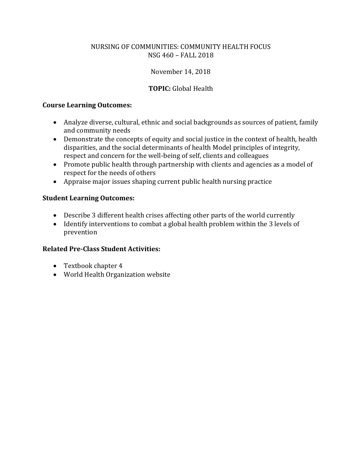# November 14, 2018

# **TOPIC:** Global Health

#### **Course Learning Outcomes:**

- Analyze diverse, cultural, ethnic and social backgrounds as sources of patient, family and community needs
- Demonstrate the concepts of equity and social justice in the context of health, health disparities, and the social determinants of health Model principles of integrity, respect and concern for the well-being of self, clients and colleagues
- Promote public health through partnership with clients and agencies as a model of respect for the needs of others
- Appraise major issues shaping current public health nursing practice

#### **Student Learning Outcomes:**

- Describe 3 different health crises affecting other parts of the world currently
- Identify interventions to combat a global health problem within the 3 levels of prevention

#### **Related Pre-Class Student Activities:**

- Textbook chapter 4
- World Health Organization website